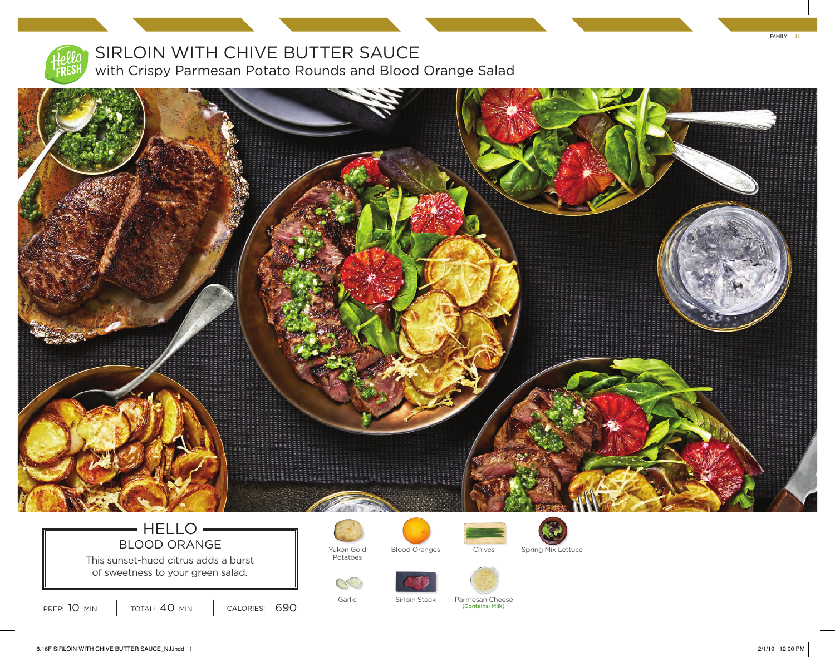

## SIRLOIN WITH CHIVE BUTTER SAUCE with Crispy Parmesan Potato Rounds and Blood Orange Salad

11111111111111

## $=$  HELLO  $=$ BLOOD ORANGE Vukon Gold

This sunset-hued citrus adds a burst of sweetness to your green salad.





Potatoes

 $\infty$ 



Blood Oranges Chives Spring Mix Lettuce



Garlic Sirloin Steak Parmesan Cheese 690 (Contains: Milk)



FAMILY 16